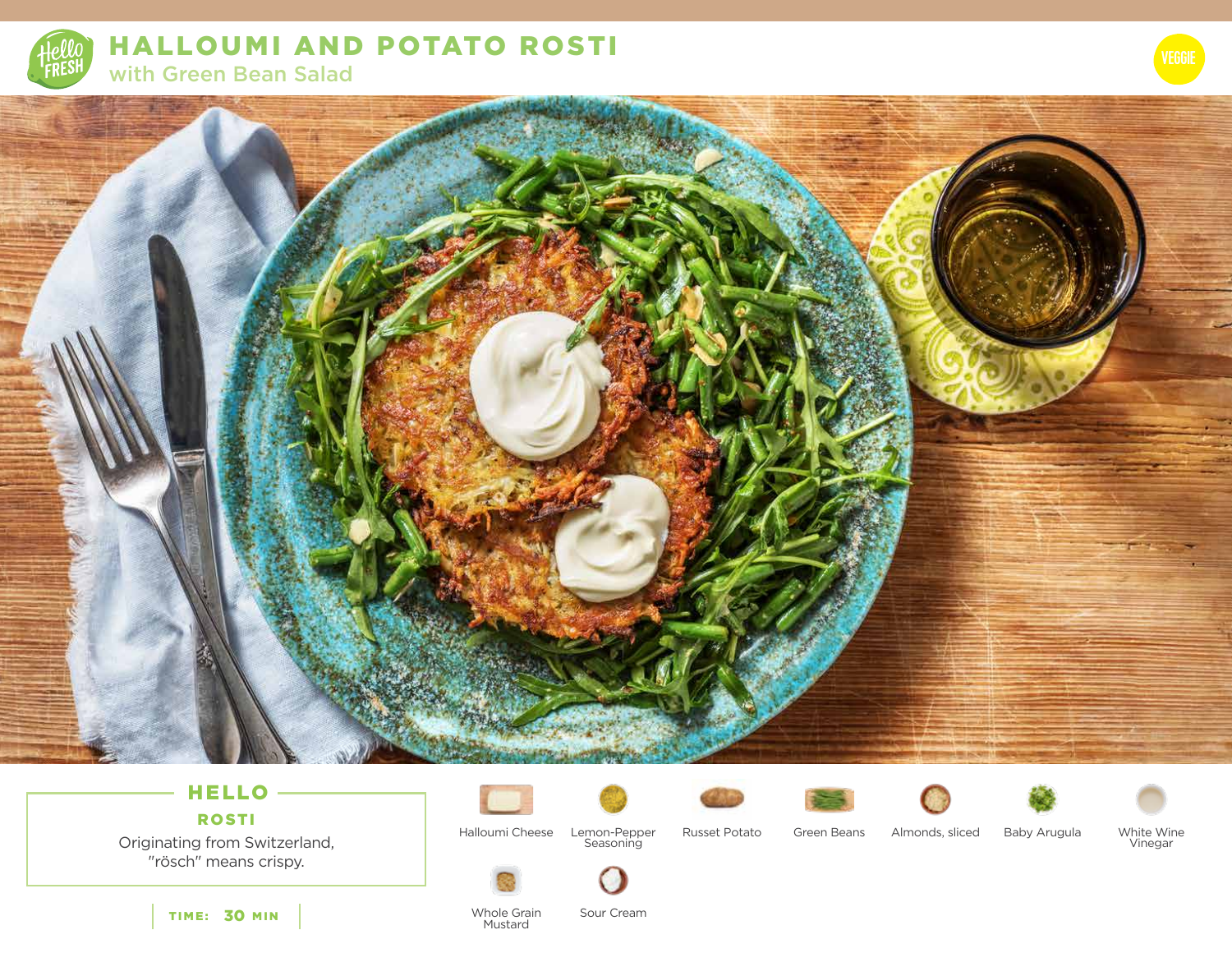

HALLOUMI AND POTATO ROSTI with Green Bean Salad

### HELLO ROSTI

Originating from Switzerland, "rösch" means crispy.

TIME: 30 MIN













White Wine<br>Vinegar

Halloumi Cheese Lemon-Pepper Green Beans Seasoning

Russet Potato Green Beans Almonds, sliced Baby Arugula



**Mustard** 

Whole Grain

Sour Cream